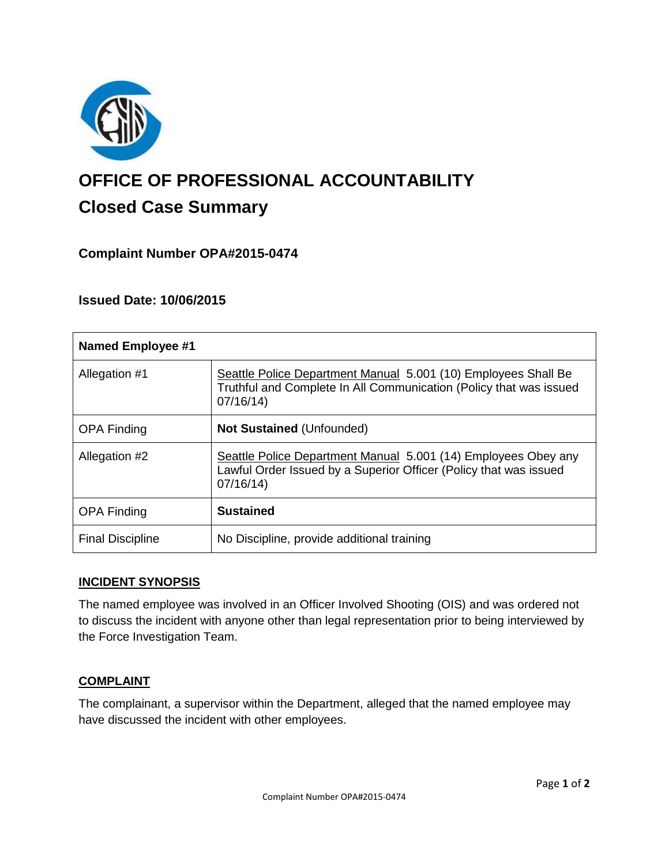

# **OFFICE OF PROFESSIONAL ACCOUNTABILITY Closed Case Summary**

## **Complaint Number OPA#2015-0474**

## **Issued Date: 10/06/2015**

| <b>Named Employee #1</b> |                                                                                                                                                  |
|--------------------------|--------------------------------------------------------------------------------------------------------------------------------------------------|
| Allegation #1            | Seattle Police Department Manual 5.001 (10) Employees Shall Be<br>Truthful and Complete In All Communication (Policy that was issued<br>07/16/14 |
| <b>OPA Finding</b>       | <b>Not Sustained (Unfounded)</b>                                                                                                                 |
| Allegation #2            | Seattle Police Department Manual 5.001 (14) Employees Obey any<br>Lawful Order Issued by a Superior Officer (Policy that was issued<br>07/16/14  |
| <b>OPA Finding</b>       | <b>Sustained</b>                                                                                                                                 |
| <b>Final Discipline</b>  | No Discipline, provide additional training                                                                                                       |

### **INCIDENT SYNOPSIS**

The named employee was involved in an Officer Involved Shooting (OIS) and was ordered not to discuss the incident with anyone other than legal representation prior to being interviewed by the Force Investigation Team.

### **COMPLAINT**

The complainant, a supervisor within the Department, alleged that the named employee may have discussed the incident with other employees.